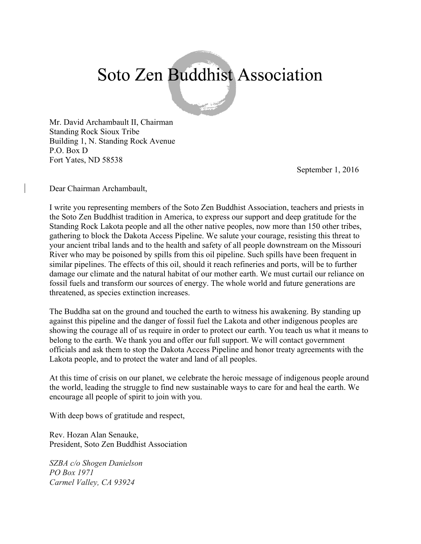## Soto Zen Buddhist Association

Mr. David Archambault II, Chairman Standing Rock Sioux Tribe Building 1, N. Standing Rock Avenue P.O. Box D Fort Yates, ND 58538

September 1, 2016

Dear Chairman Archambault,

I write you representing members of the Soto Zen Buddhist Association, teachers and priests in the Soto Zen Buddhist tradition in America, to express our support and deep gratitude for the Standing Rock Lakota people and all the other native peoples, now more than 150 other tribes, gathering to block the Dakota Access Pipeline. We salute your courage, resisting this threat to your ancient tribal lands and to the health and safety of all people downstream on the Missouri River who may be poisoned by spills from this oil pipeline. Such spills have been frequent in similar pipelines. The effects of this oil, should it reach refineries and ports, will be to further damage our climate and the natural habitat of our mother earth. We must curtail our reliance on fossil fuels and transform our sources of energy. The whole world and future generations are threatened, as species extinction increases.

The Buddha sat on the ground and touched the earth to witness his awakening. By standing up against this pipeline and the danger of fossil fuel the Lakota and other indigenous peoples are showing the courage all of us require in order to protect our earth. You teach us what it means to belong to the earth. We thank you and offer our full support. We will contact government officials and ask them to stop the Dakota Access Pipeline and honor treaty agreements with the Lakota people, and to protect the water and land of all peoples.

At this time of crisis on our planet, we celebrate the heroic message of indigenous people around the world, leading the struggle to find new sustainable ways to care for and heal the earth. We encourage all people of spirit to join with you.

With deep bows of gratitude and respect,

Rev. Hozan Alan Senauke, President, Soto Zen Buddhist Association

*SZBA c/o Shogen Danielson PO Box 1971 Carmel Valley, CA 93924*